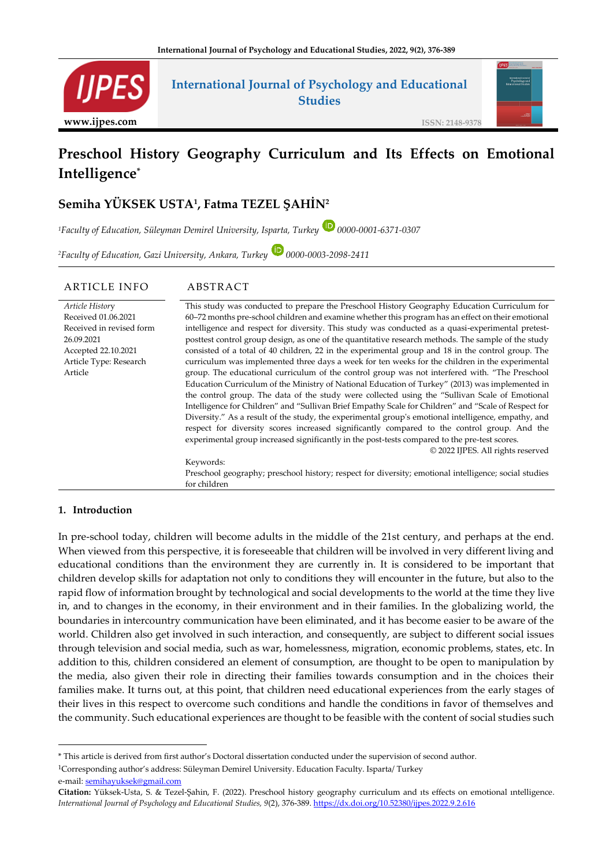

# **Preschool History Geography Curriculum and Its Effects on Emotional Intelligence\***

# **Semiha YÜKSEK USTA<sup>1</sup> , Fatma TEZEL ŞAHİN<sup>2</sup>**

*<sup>1</sup>Faculty of Education, Süleyman Demirel University, Isparta, Turkey 0000-0001-6371-0307*

*<sup>2</sup>Faculty of Education, Gazi University, Ankara, Turkey 0000-0003-2098-2411*

#### ARTICLE INFO ABSTRACT *Article Histor*y Received 01.06.2021 Received in revised form 26.09.2021 Accepted 22.10.2021 Article Type: Research Article This study was conducted to prepare the Preschool History Geography Education Curriculum for 60–72 months pre-school children and examine whether this program has an effect on their emotional intelligence and respect for diversity. This study was conducted as a quasi-experimental pretestposttest control group design, as one of the quantitative research methods. The sample of the study consisted of a total of 40 children, 22 in the experimental group and 18 in the control group. The curriculum was implemented three days a week for ten weeks for the children in the experimental group. The educational curriculum of the control group was not interfered with. "The Preschool Education Curriculum of the Ministry of National Education of Turkey" (2013) was implemented in the control group. The data of the study were collected using the "Sullivan Scale of Emotional Intelligence for Children" and "Sullivan Brief Empathy Scale for Children" and "Scale of Respect for Diversity." As a result of the study, the experimental group's emotional intelligence, empathy, and respect for diversity scores increased significantly compared to the control group. And the experimental group increased significantly in the post-tests compared to the pre-test scores. © 2022 IJPES. All rights reserved Keywords: Preschool geography; preschool history; respect for diversity; emotional intelligence; social studies for children

## **1. Introduction**

In pre-school today, children will become adults in the middle of the 21st century, and perhaps at the end. When viewed from this perspective, it is foreseeable that children will be involved in very different living and educational conditions than the environment they are currently in. It is considered to be important that children develop skills for adaptation not only to conditions they will encounter in the future, but also to the rapid flow of information brought by technological and social developments to the world at the time they live in, and to changes in the economy, in their environment and in their families. In the globalizing world, the boundaries in intercountry communication have been eliminated, and it has become easier to be aware of the world. Children also get involved in such interaction, and consequently, are subject to different social issues through television and social media, such as war, homelessness, migration, economic problems, states, etc. In addition to this, children considered an element of consumption, are thought to be open to manipulation by the media, also given their role in directing their families towards consumption and in the choices their families make. It turns out, at this point, that children need educational experiences from the early stages of their lives in this respect to overcome such conditions and handle the conditions in favor of themselves and the community. Such educational experiences are thought to be feasible with the content of social studies such

<sup>1</sup>Corresponding author's address: Süleyman Demirel University. Education Faculty. Isparta/ Turkey e-mail: [semihayuksek@g](mailto:semihayuksek@)mail.com

<sup>\*</sup> This article is derived from first author's Doctoral dissertation conducted under the supervision of second author.

**Citation:** Yüksek-Usta, S. & Tezel-Şahin, F. (2022). Preschool history geography curriculum and ıts effects on emotional ıntelligence. *International Journal of Psychology and Educational Studies, 9*(2), 376-389[. https://dx.doi.org/10.52380/ijpes.2022.9.2.616](https://dx.doi.org/10.52380/ijpes.2022.9.2.616)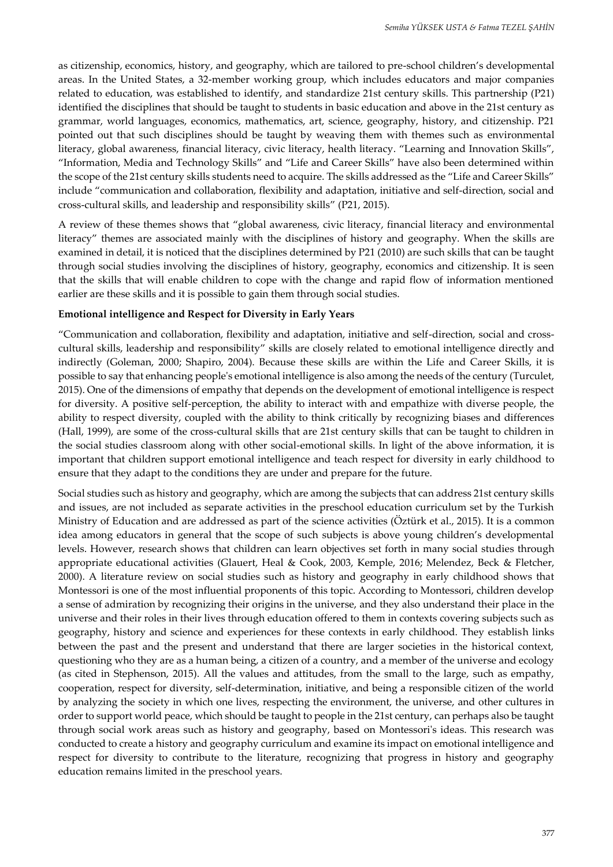as citizenship, economics, history, and geography, which are tailored to pre-school children's developmental areas. In the United States, a 32-member working group, which includes educators and major companies related to education, was established to identify, and standardize 21st century skills. This partnership (P21) identified the disciplines that should be taught to students in basic education and above in the 21st century as grammar, world languages, economics, mathematics, art, science, geography, history, and citizenship. P21 pointed out that such disciplines should be taught by weaving them with themes such as environmental literacy, global awareness, financial literacy, civic literacy, health literacy. "Learning and Innovation Skills", "Information, Media and Technology Skills" and "Life and Career Skills" have also been determined within the scope of the 21st century skills students need to acquire. The skills addressed as the "Life and Career Skills" include "communication and collaboration, flexibility and adaptation, initiative and self-direction, social and cross-cultural skills, and leadership and responsibility skills" (P21, 2015).

A review of these themes shows that "global awareness, civic literacy, financial literacy and environmental literacy" themes are associated mainly with the disciplines of history and geography. When the skills are examined in detail, it is noticed that the disciplines determined by P21 (2010) are such skills that can be taught through social studies involving the disciplines of history, geography, economics and citizenship. It is seen that the skills that will enable children to cope with the change and rapid flow of information mentioned earlier are these skills and it is possible to gain them through social studies.

#### **Emotional intelligence and Respect for Diversity in Early Years**

"Communication and collaboration, flexibility and adaptation, initiative and self-direction, social and crosscultural skills, leadership and responsibility" skills are closely related to emotional intelligence directly and indirectly (Goleman, 2000; Shapiro, 2004). Because these skills are within the Life and Career Skills, it is possible to say that enhancing people's emotional intelligence is also among the needs of the century (Turculet, 2015). One of the dimensions of empathy that depends on the development of emotional intelligence is respect for diversity. A positive self-perception, the ability to interact with and empathize with diverse people, the ability to respect diversity, coupled with the ability to think critically by recognizing biases and differences (Hall, 1999), are some of the cross-cultural skills that are 21st century skills that can be taught to children in the social studies classroom along with other social-emotional skills. In light of the above information, it is important that children support emotional intelligence and teach respect for diversity in early childhood to ensure that they adapt to the conditions they are under and prepare for the future.

Social studies such as history and geography, which are among the subjects that can address 21st century skills and issues, are not included as separate activities in the preschool education curriculum set by the Turkish Ministry of Education and are addressed as part of the science activities (Öztürk et al., 2015). It is a common idea among educators in general that the scope of such subjects is above young children's developmental levels. However, research shows that children can learn objectives set forth in many social studies through appropriate educational activities (Glauert, Heal & Cook, 2003, Kemple, 2016; Melendez, Beck & Fletcher, 2000). A literature review on social studies such as history and geography in early childhood shows that Montessori is one of the most influential proponents of this topic. According to Montessori, children develop a sense of admiration by recognizing their origins in the universe, and they also understand their place in the universe and their roles in their lives through education offered to them in contexts covering subjects such as geography, history and science and experiences for these contexts in early childhood. They establish links between the past and the present and understand that there are larger societies in the historical context, questioning who they are as a human being, a citizen of a country, and a member of the universe and ecology (as cited in Stephenson, 2015). All the values and attitudes, from the small to the large, such as empathy, cooperation, respect for diversity, self-determination, initiative, and being a responsible citizen of the world by analyzing the society in which one lives, respecting the environment, the universe, and other cultures in order to support world peace, which should be taught to people in the 21st century, can perhaps also be taught through social work areas such as history and geography, based on Montessori's ideas. This research was conducted to create a history and geography curriculum and examine its impact on emotional intelligence and respect for diversity to contribute to the literature, recognizing that progress in history and geography education remains limited in the preschool years.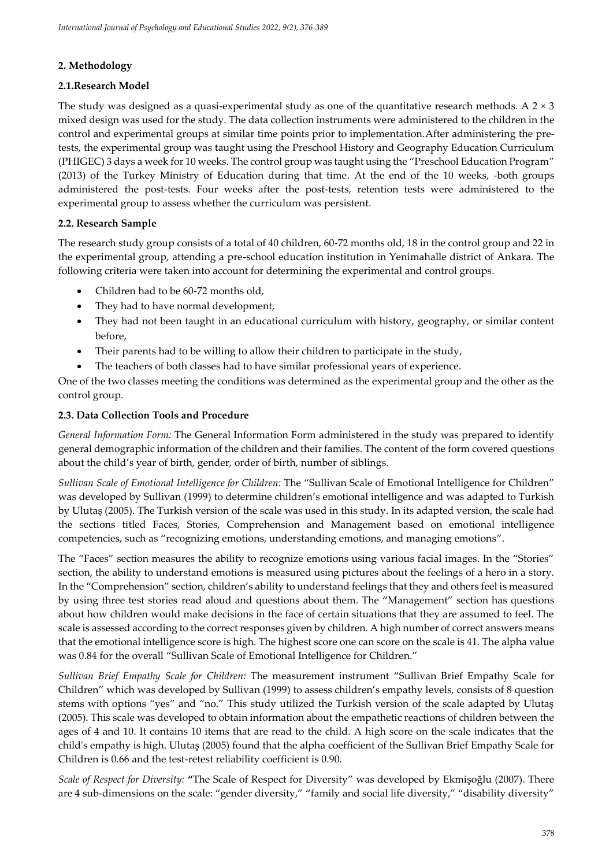# **2. Methodology**

# **2.1.Research Model**

The study was designed as a quasi-experimental study as one of the quantitative research methods. A  $2 \times 3$ mixed design was used for the study. The data collection instruments were administered to the children in the control and experimental groups at similar time points prior to implementation.After administering the pretests, the experimental group was taught using the Preschool History and Geography Education Curriculum (PHIGEC) 3 days a week for 10 weeks. The control group was taught using the "Preschool Education Program" (2013) of the Turkey Ministry of Education during that time. At the end of the 10 weeks, -both groups administered the post-tests. Four weeks after the post-tests, retention tests were administered to the experimental group to assess whether the curriculum was persistent.

# **2.2. Research Sample**

The research study group consists of a total of 40 children, 60-72 months old, 18 in the control group and 22 in the experimental group, attending a pre-school education institution in Yenimahalle district of Ankara. The following criteria were taken into account for determining the experimental and control groups.

- Children had to be 60-72 months old,
- They had to have normal development,
- They had not been taught in an educational curriculum with history, geography, or similar content before,
- Their parents had to be willing to allow their children to participate in the study,
- The teachers of both classes had to have similar professional years of experience.

One of the two classes meeting the conditions was determined as the experimental group and the other as the control group.

# **2.3. Data Collection Tools and Procedure**

*General Information Form:* The General Information Form administered in the study was prepared to identify general demographic information of the children and their families. The content of the form covered questions about the child's year of birth, gender, order of birth, number of siblings.

*Sullivan Scale of Emotional Intelligence for Children:* The "Sullivan Scale of Emotional Intelligence for Children" was developed by Sullivan (1999) to determine children's emotional intelligence and was adapted to Turkish by Ulutaş (2005). The Turkish version of the scale was used in this study. In its adapted version, the scale had the sections titled Faces, Stories, Comprehension and Management based on emotional intelligence competencies, such as "recognizing emotions, understanding emotions, and managing emotions".

The "Faces" section measures the ability to recognize emotions using various facial images. In the "Stories" section, the ability to understand emotions is measured using pictures about the feelings of a hero in a story. In the "Comprehension" section, children's ability to understand feelings that they and others feel is measured by using three test stories read aloud and questions about them. The "Management" section has questions about how children would make decisions in the face of certain situations that they are assumed to feel. The scale is assessed according to the correct responses given by children. A high number of correct answers means that the emotional intelligence score is high. The highest score one can score on the scale is 41. The alpha value was 0.84 for the overall "Sullivan Scale of Emotional Intelligence for Children."

*Sullivan Brief Empathy Scale for Children:* The measurement instrument "Sullivan Brief Empathy Scale for Children" which was developed by Sullivan (1999) to assess children's empathy levels, consists of 8 question stems with options "yes" and "no." This study utilized the Turkish version of the scale adapted by Ulutaş (2005). This scale was developed to obtain information about the empathetic reactions of children between the ages of 4 and 10. It contains 10 items that are read to the child. A high score on the scale indicates that the child's empathy is high. Ulutaş (2005) found that the alpha coefficient of the Sullivan Brief Empathy Scale for Children is 0.66 and the test-retest reliability coefficient is 0.90.

*Scale of Respect for Diversity:* **"**The Scale of Respect for Diversity" was developed by Ekmişoğlu (2007). There are 4 sub-dimensions on the scale: "gender diversity," "family and social life diversity," "disability diversity"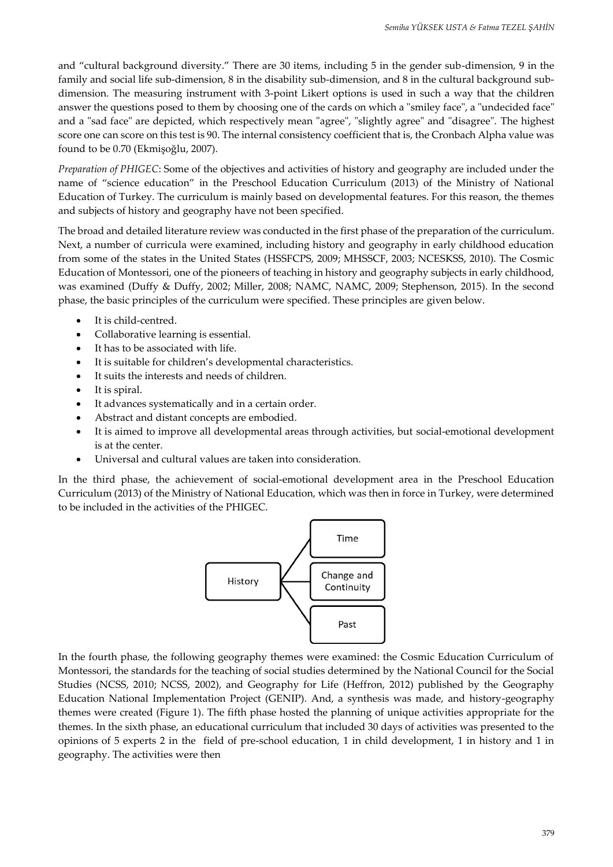and "cultural background diversity." There are 30 items, including 5 in the gender sub-dimension, 9 in the family and social life sub-dimension, 8 in the disability sub-dimension, and 8 in the cultural background subdimension. The measuring instrument with 3-point Likert options is used in such a way that the children answer the questions posed to them by choosing one of the cards on which a "smiley face", a "undecided face" and a "sad face" are depicted, which respectively mean "agree", "slightly agree" and "disagree". The highest score one can score on this test is 90. The internal consistency coefficient that is, the Cronbach Alpha value was found to be 0.70 (Ekmişoğlu, 2007).

*Preparation of PHIGEC*: Some of the objectives and activities of history and geography are included under the name of "science education" in the Preschool Education Curriculum (2013) of the Ministry of National Education of Turkey. The curriculum is mainly based on developmental features. For this reason, the themes and subjects of history and geography have not been specified.

The broad and detailed literature review was conducted in the first phase of the preparation of the curriculum. Next, a number of curricula were examined, including history and geography in early childhood education from some of the states in the United States (HSSFCPS, 2009; MHSSCF, 2003; NCESKSS, 2010). The Cosmic Education of Montessori, one of the pioneers of teaching in history and geography subjects in early childhood, was examined (Duffy & Duffy, 2002; Miller, 2008; NAMC, NAMC, 2009; Stephenson, 2015). In the second phase, the basic principles of the curriculum were specified. These principles are given below.

- It is child-centred.
- Collaborative learning is essential.
- It has to be associated with life.
- It is suitable for children's developmental characteristics.
- It suits the interests and needs of children.
- It is spiral.
- It advances systematically and in a certain order.
- Abstract and distant concepts are embodied.
- It is aimed to improve all developmental areas through activities, but social-emotional development is at the center.
- Universal and cultural values are taken into consideration.

In the third phase, the achievement of social-emotional development area in the Preschool Education Curriculum (2013) of the Ministry of National Education, which was then in force in Turkey, were determined to be included in the activities of the PHIGEC.



In the fourth phase, the following geography themes were examined: the Cosmic Education Curriculum of Montessori, the standards for the teaching of social studies determined by the National Council for the Social Studies (NCSS, 2010; NCSS, 2002), and Geography for Life (Heffron, 2012) published by the Geography Education National Implementation Project (GENIP). And, a synthesis was made, and history-geography themes were created (Figure 1). The fifth phase hosted the planning of unique activities appropriate for the themes. In the sixth phase, an educational curriculum that included 30 days of activities was presented to the opinions of 5 experts 2 in the field of pre-school education, 1 in child development, 1 in history and 1 in geography. The activities were then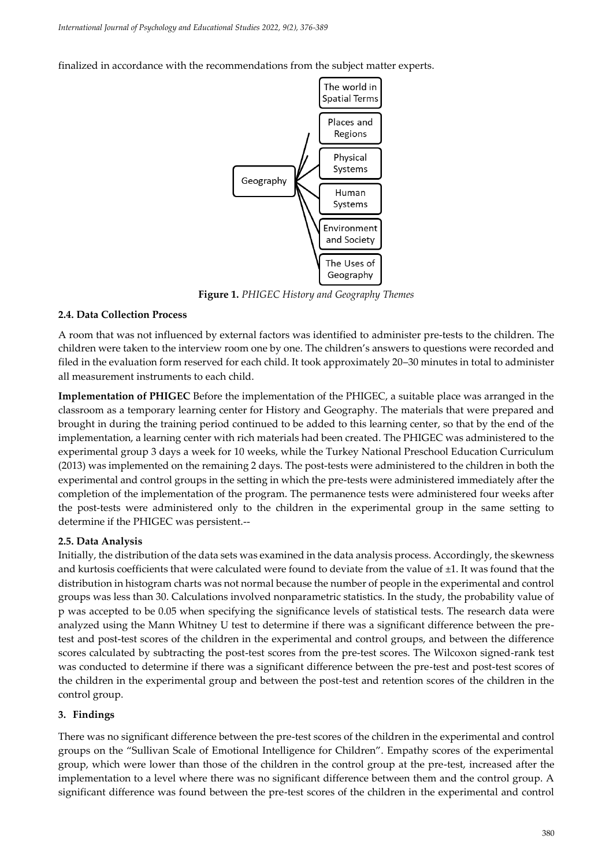finalized in accordance with the recommendations from the subject matter experts.



**Figure 1.** *PHIGEC History and Geography Themes*

## **2.4. Data Collection Process**

A room that was not influenced by external factors was identified to administer pre-tests to the children. The children were taken to the interview room one by one. The children's answers to questions were recorded and filed in the evaluation form reserved for each child. It took approximately 20–30 minutes in total to administer all measurement instruments to each child.

**Implementation of PHIGEC** Before the implementation of the PHIGEC, a suitable place was arranged in the classroom as a temporary learning center for History and Geography. The materials that were prepared and brought in during the training period continued to be added to this learning center, so that by the end of the implementation, a learning center with rich materials had been created. The PHIGEC was administered to the experimental group 3 days a week for 10 weeks, while the Turkey National Preschool Education Curriculum (2013) was implemented on the remaining 2 days. The post-tests were administered to the children in both the experimental and control groups in the setting in which the pre-tests were administered immediately after the completion of the implementation of the program. The permanence tests were administered four weeks after the post-tests were administered only to the children in the experimental group in the same setting to determine if the PHIGEC was persistent.--

## **2.5. Data Analysis**

Initially, the distribution of the data sets was examined in the data analysis process. Accordingly, the skewness and kurtosis coefficients that were calculated were found to deviate from the value of ±1. It was found that the distribution in histogram charts was not normal because the number of people in the experimental and control groups was less than 30. Calculations involved nonparametric statistics. In the study, the probability value of p was accepted to be 0.05 when specifying the significance levels of statistical tests. The research data were analyzed using the Mann Whitney U test to determine if there was a significant difference between the pretest and post-test scores of the children in the experimental and control groups, and between the difference scores calculated by subtracting the post-test scores from the pre-test scores. The Wilcoxon signed-rank test was conducted to determine if there was a significant difference between the pre-test and post-test scores of the children in the experimental group and between the post-test and retention scores of the children in the control group.

#### **3. Findings**

There was no significant difference between the pre-test scores of the children in the experimental and control groups on the "Sullivan Scale of Emotional Intelligence for Children". Empathy scores of the experimental group, which were lower than those of the children in the control group at the pre-test, increased after the implementation to a level where there was no significant difference between them and the control group. A significant difference was found between the pre-test scores of the children in the experimental and control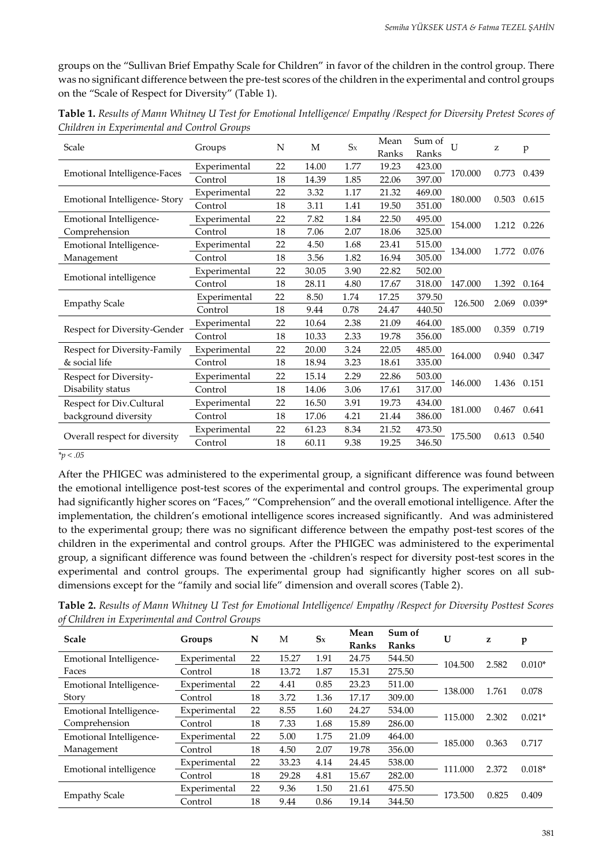groups on the "Sullivan Brief Empathy Scale for Children" in favor of the children in the control group. There was no significant difference between the pre-test scores of the children in the experimental and control groups on the "Scale of Respect for Diversity" (Table 1).

| Scale                         | Groups       | N  | М     | $S_X$ | Mean<br>Ranks | Sum of<br>Ranks | $\mathbf{U}$ | z     | p        |
|-------------------------------|--------------|----|-------|-------|---------------|-----------------|--------------|-------|----------|
|                               | Experimental | 22 | 14.00 | 1.77  | 19.23         | 423.00          |              | 0.773 | 0.439    |
| Emotional Intelligence-Faces  | Control      | 18 | 14.39 | 1.85  | 22.06         | 397.00          | 170.000      |       |          |
|                               | Experimental | 22 | 3.32  | 1.17  | 21.32         | 469.00          |              | 0.503 |          |
| Emotional Intelligence-Story  | Control      | 18 | 3.11  | 1.41  | 19.50         | 351.00          | 180.000      |       | 0.615    |
| Emotional Intelligence-       | Experimental | 22 | 7.82  | 1.84  | 22.50         | 495.00          |              | 1.212 |          |
| Comprehension                 | Control      | 18 | 7.06  | 2.07  | 18.06         | 325.00          | 154.000      |       | 0.226    |
| Emotional Intelligence-       | Experimental | 22 | 4.50  | 1.68  | 23.41         | 515.00          | 134.000      | 1.772 | 0.076    |
| Management                    | Control      | 18 | 3.56  | 1.82  | 16.94         | 305.00          |              |       |          |
|                               | Experimental | 22 | 30.05 | 3.90  | 22.82         | 502.00          |              |       |          |
| Emotional intelligence        | Control      | 18 | 28.11 | 4.80  | 17.67         | 318.00          | 147.000      | 1.392 | 0.164    |
|                               | Experimental | 22 | 8.50  | 1.74  | 17.25         | 379.50          | 126.500      | 2.069 | $0.039*$ |
| <b>Empathy Scale</b>          | Control      | 18 | 9.44  | 0.78  | 24.47         | 440.50          |              |       |          |
|                               | Experimental | 22 | 10.64 | 2.38  | 21.09         | 464.00          | 185.000      | 0.359 | 0.719    |
| Respect for Diversity-Gender  | Control      | 18 | 10.33 | 2.33  | 19.78         | 356.00          |              |       |          |
| Respect for Diversity-Family  | Experimental | 22 | 20.00 | 3.24  | 22.05         | 485.00          |              |       | 0.347    |
| & social life                 | Control      | 18 | 18.94 | 3.23  | 18.61         | 335.00          | 164.000      | 0.940 |          |
| Respect for Diversity-        | Experimental | 22 | 15.14 | 2.29  | 22.86         | 503.00          |              |       |          |
| Disability status             | Control      | 18 | 14.06 | 3.06  | 17.61         | 317.00          | 146.000      | 1.436 | 0.151    |
| Respect for Div.Cultural      | Experimental | 22 | 16.50 | 3.91  | 19.73         | 434.00          |              |       |          |
| background diversity          | Control      | 18 | 17.06 | 4.21  | 21.44         | 386.00          | 181.000      | 0.467 | 0.641    |
|                               | Experimental | 22 | 61.23 | 8.34  | 21.52         | 473.50          |              |       |          |
| Overall respect for diversity | Control      | 18 | 60.11 | 9.38  | 19.25         | 346.50          | 175.500      | 0.613 | 0.540    |

**Table 1.** *Results of Mann Whitney U Test for Emotional Intelligence/ Empathy /Respect for Diversity Pretest Scores of Children in Experimental and Control Groups*

#### *\*p < .05*

After the PHIGEC was administered to the experimental group, a significant difference was found between the emotional intelligence post-test scores of the experimental and control groups. The experimental group had significantly higher scores on "Faces," "Comprehension" and the overall emotional intelligence. After the implementation, the children's emotional intelligence scores increased significantly. And was administered to the experimental group; there was no significant difference between the empathy post-test scores of the children in the experimental and control groups. After the PHIGEC was administered to the experimental group, a significant difference was found between the -children's respect for diversity post-test scores in the experimental and control groups. The experimental group had significantly higher scores on all subdimensions except for the "family and social life" dimension and overall scores (Table 2).

**Table 2.** *Results of Mann Whitney U Test for Emotional Intelligence/ Empathy /Respect for Diversity Posttest Scores of Children in Experimental and Control Groups*

| <b>Scale</b>            | Groups       | N  | М     | $S_{X}$ | Mean<br>Ranks | Sum of<br>Ranks | U       | z     | p        |
|-------------------------|--------------|----|-------|---------|---------------|-----------------|---------|-------|----------|
| Emotional Intelligence- | Experimental | 22 | 15.27 | 1.91    | 24.75         | 544.50          | 104.500 | 2.582 | $0.010*$ |
| Faces                   | Control      | 18 | 13.72 | 1.87    | 15.31         | 275.50          |         |       |          |
| Emotional Intelligence- | Experimental | 22 | 4.41  | 0.85    | 23.23         | 511.00          |         | 1.761 | 0.078    |
| Story                   | Control      | 18 | 3.72  | 1.36    | 17.17         | 309.00          | 138.000 |       |          |
| Emotional Intelligence- | Experimental | 22 | 8.55  | 1.60    | 24.27         | 534.00          |         |       |          |
| Comprehension           | Control      | 18 | 7.33  | 1.68    | 15.89         | 286.00          | 115.000 | 2.302 | $0.021*$ |
| Emotional Intelligence- | Experimental | 22 | 5.00  | 1.75    | 21.09         | 464.00          | 185.000 | 0.363 | 0.717    |
| Management              | Control      | 18 | 4.50  | 2.07    | 19.78         | 356.00          |         |       |          |
|                         | Experimental | 22 | 33.23 | 4.14    | 24.45         | 538.00          |         | 2.372 |          |
| Emotional intelligence  | Control      | 18 | 29.28 | 4.81    | 15.67         | 282.00          | 111.000 |       | $0.018*$ |
|                         | Experimental | 22 | 9.36  | 1.50    | 21.61         | 475.50          |         |       |          |
| <b>Empathy Scale</b>    | Control      | 18 | 9.44  | 0.86    | 19.14         | 344.50          | 173.500 | 0.825 | 0.409    |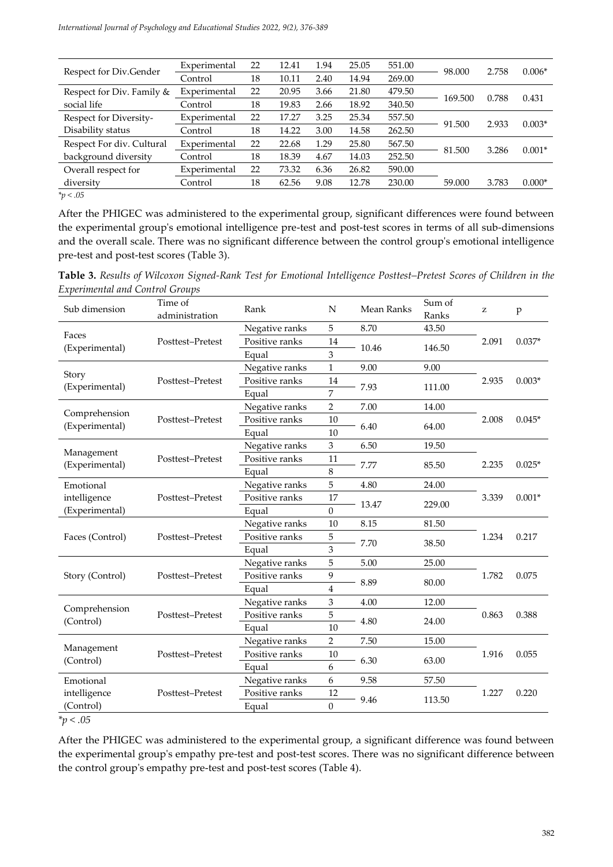| Respect for Div.Gender    | Experimental | 22 | 12.41 | 1.94 | 25.05 | 551.00 | 98.000  | 2.758 | $0.006*$ |
|---------------------------|--------------|----|-------|------|-------|--------|---------|-------|----------|
|                           | Control      | 18 | 10.11 | 2.40 | 14.94 | 269.00 |         |       |          |
| Respect for Div. Family & | Experimental | 22 | 20.95 | 3.66 | 21.80 | 479.50 |         | 0.788 |          |
| social life               | Control      | 18 | 19.83 | 2.66 | 18.92 | 340.50 | 169.500 |       | 0.431    |
| Respect for Diversity-    | Experimental | 22 | 17.27 | 3.25 | 25.34 | 557.50 |         |       | $0.003*$ |
| Disability status         | Control      | 18 | 14.22 | 3.00 | 14.58 | 262.50 | 91.500  | 2.933 |          |
| Respect For div. Cultural | Experimental | 22 | 22.68 | 1.29 | 25.80 | 567.50 |         | 3.286 | $0.001*$ |
| background diversity      | Control      | 18 | 18.39 | 4.67 | 14.03 | 252.50 | 81.500  |       |          |
| Overall respect for       | Experimental | 22 | 73.32 | 6.36 | 26.82 | 590.00 |         |       |          |
| diversity                 | Control      | 18 | 62.56 | 9.08 | 12.78 | 230.00 | 59.000  | 3.783 | $0.000*$ |
| $*_p$ < .05               |              |    |       |      |       |        |         |       |          |

After the PHIGEC was administered to the experimental group, significant differences were found between the experimental group's emotional intelligence pre-test and post-test scores in terms of all sub-dimensions and the overall scale. There was no significant difference between the control group's emotional intelligence pre-test and post-test scores (Table 3).

**Table 3.** *Results of Wilcoxon Signed-Rank Test for Emotional Intelligence Posttest–Pretest Scores of Children in the Experimental and Control Groups*

| Sub dimension                   | Time of<br>administration | Rank           | $\mathbf N$             | Mean Ranks | Sum of<br>Ranks | z     | $\mathbf{p}$ |
|---------------------------------|---------------------------|----------------|-------------------------|------------|-----------------|-------|--------------|
| Faces                           |                           | Negative ranks | 5                       | 8.70       | 43.50           |       | $0.037*$     |
|                                 | Posttest-Pretest          | Positive ranks | 14                      | 10.46      | 146.50          | 2.091 |              |
| (Experimental)<br>Story         |                           | Equal          | 3                       |            |                 |       |              |
|                                 |                           | Negative ranks | $\mathbf{1}$            | 9.00       | 9.00            |       |              |
|                                 | Posttest-Pretest          | Positive ranks | $14\,$                  | 7.93       | 111.00          | 2.935 | $0.003*$     |
| (Experimental)                  |                           | Equal          | 7                       |            |                 |       |              |
|                                 |                           | Negative ranks | $\overline{2}$          | 7.00       | 14.00           |       |              |
| Comprehension<br>(Experimental) | Posttest-Pretest          | Positive ranks | $10\,$                  | 6.40       | 64.00           | 2.008 | $0.045*$     |
|                                 |                           | Equal          | 10                      |            |                 |       |              |
| Management                      |                           | Negative ranks | 3                       | 6.50       | 19.50           |       |              |
| (Experimental)                  | Posttest-Pretest          | Positive ranks | 11                      | 7.77       | 85.50           | 2.235 | $0.025*$     |
|                                 |                           | Equal          | 8                       |            |                 |       |              |
| Emotional                       |                           | Negative ranks | 5                       | 4.80       | 24.00           |       |              |
| intelligence                    | Posttest-Pretest          | Positive ranks | 17                      | 13.47      | 229.00          | 3.339 | $0.001*$     |
| (Experimental)                  |                           | Equal          | $\boldsymbol{0}$        |            |                 |       |              |
|                                 | Posttest-Pretest          | Negative ranks | 10                      | 8.15       | 81.50           |       |              |
| Faces (Control)                 |                           | Positive ranks | 5                       | 7.70       | 38.50           | 1.234 | 0.217        |
|                                 |                           | Equal          | 3                       |            |                 |       |              |
|                                 |                           | Negative ranks | 5                       | 5.00       | 25.00           |       |              |
| Story (Control)                 | Posttest-Pretest          | Positive ranks | 9                       | 8.89       | 80.00           | 1.782 | 0.075        |
|                                 |                           | Equal          | $\overline{\mathbf{4}}$ |            |                 |       |              |
| Comprehension                   |                           | Negative ranks | 3                       | 4.00       | 12.00           |       |              |
| (Control)                       | Posttest-Pretest          | Positive ranks | 5                       | 4.80       | 24.00           | 0.863 | 0.388        |
|                                 |                           | Equal          | 10                      |            |                 |       |              |
|                                 |                           | Negative ranks | $\overline{2}$          | 7.50       | 15.00           |       |              |
| Management<br>(Control)         | Posttest-Pretest          | Positive ranks | $10\,$                  | 6.30       | 63.00           | 1.916 | 0.055        |
|                                 |                           | Equal          | 6                       |            |                 |       |              |
| Emotional                       |                           | Negative ranks | 6                       | 9.58       | 57.50           |       |              |
| intelligence                    | Posttest-Pretest          | Positive ranks | 12                      | 9.46       |                 | 1.227 | 0.220        |
| (Control)                       |                           | Equal          | $\mathbf{0}$            |            | 113.50          |       |              |

*\*p < .05*

After the PHIGEC was administered to the experimental group, a significant difference was found between the experimental group's empathy pre-test and post-test scores. There was no significant difference between the control group's empathy pre-test and post-test scores (Table 4).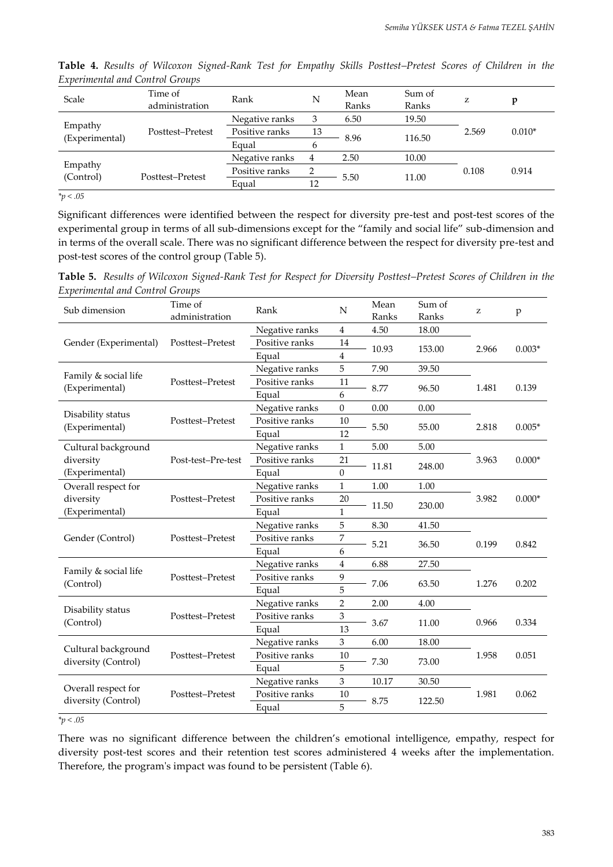| <i>емретинении ини сонтог отомро</i> |                         |                |                                                                                                                                                                        |  |  |          |
|--------------------------------------|-------------------------|----------------|------------------------------------------------------------------------------------------------------------------------------------------------------------------------|--|--|----------|
| Scale                                | Time of                 | Rank           | Mean<br>Sum of<br>N<br>z<br>v<br>Ranks<br>Ranks<br>19.50<br>6.50<br>3<br>13<br>2.569<br>8.96<br>116.50<br>b<br>2.50<br>10.00<br>4<br>2<br>0.108<br>11.00<br>5.50<br>12 |  |  |          |
|                                      | administration          |                |                                                                                                                                                                        |  |  |          |
| Empathy                              |                         | Negative ranks |                                                                                                                                                                        |  |  |          |
|                                      | Posttest-Pretest        | Positive ranks |                                                                                                                                                                        |  |  | $0.010*$ |
|                                      | (Experimental)<br>Equal |                |                                                                                                                                                                        |  |  |          |
| Empathy                              |                         | Negative ranks |                                                                                                                                                                        |  |  |          |
|                                      | Posttest-Pretest        | Positive ranks |                                                                                                                                                                        |  |  | 0.914    |
| (Control)                            |                         | Equal          |                                                                                                                                                                        |  |  |          |
|                                      |                         |                |                                                                                                                                                                        |  |  |          |

**Table 4.** *Results of Wilcoxon Signed-Rank Test for Empathy Skills Posttest–Pretest Scores of Children in the Experimental and Control Groups*

*\*p < .05*

Significant differences were identified between the respect for diversity pre-test and post-test scores of the experimental group in terms of all sub-dimensions except for the "family and social life" sub-dimension and in terms of the overall scale. There was no significant difference between the respect for diversity pre-test and post-test scores of the control group (Table 5).

**Table 5.** *Results of Wilcoxon Signed-Rank Test for Respect for Diversity Posttest–Pretest Scores of Children in the Experimental and Control Groups*

| Time of<br>Sub dimension<br>administration                     |                    | Rank                             | N                | Mean<br>Ranks | Sum of<br>Ranks | z     | p        |  |
|----------------------------------------------------------------|--------------------|----------------------------------|------------------|---------------|-----------------|-------|----------|--|
|                                                                |                    |                                  | $\overline{4}$   |               |                 |       |          |  |
|                                                                | Posttest-Pretest   | Negative ranks<br>Positive ranks | $14\,$           | 4.50          | 18.00           |       |          |  |
| Gender (Experimental)                                          |                    |                                  |                  | 10.93         | 153.00          | 2.966 | $0.003*$ |  |
|                                                                |                    | Equal                            | $\bf 4$<br>5     | 7.90          | 39.50           |       |          |  |
| Family & social life                                           |                    | Negative ranks                   |                  |               |                 |       |          |  |
| (Experimental)                                                 | Posttest-Pretest   | Positive ranks                   | 11<br>6          | 8.77          | 96.50           | 1.481 | 0.139    |  |
|                                                                |                    | Equal                            |                  |               |                 |       |          |  |
| Disability status                                              |                    | Negative ranks                   | $\boldsymbol{0}$ | 0.00          | 0.00            |       |          |  |
| Posttest-Pretest<br>(Experimental)                             |                    | Positive ranks                   | 10<br>12         | 5.50          | 55.00           | 2.818 | $0.005*$ |  |
|                                                                |                    | Equal<br>Negative ranks          |                  |               |                 |       |          |  |
| Cultural background                                            |                    |                                  | $\mathbf{1}$     | 5.00          | 5.00            |       |          |  |
| diversity                                                      | Post-test-Pre-test | Positive ranks                   | 21               | 11.81         | 248.00          | 3.963 | $0.000*$ |  |
| (Experimental)                                                 |                    | Equal                            | $\Omega$         |               |                 |       |          |  |
| Overall respect for                                            |                    | Negative ranks                   | $\mathbf{1}$     | 1.00<br>11.50 | 1.00<br>230.00  |       |          |  |
| Posttest-Pretest<br>diversity                                  |                    | Positive ranks                   | 20               |               |                 | 3.982 | $0.000*$ |  |
| (Experimental)                                                 |                    | Equal                            | $\mathbf{1}$     |               |                 |       |          |  |
|                                                                | Posttest-Pretest   | Negative ranks                   | 5                | 8.30          | 41.50           | 0.199 |          |  |
| Gender (Control)                                               |                    | Positive ranks                   | 7                | 5.21          | 36.50           |       | 0.842    |  |
|                                                                |                    | Equal                            | 6                |               |                 |       |          |  |
| Family & social life                                           |                    | Negative ranks                   | $\overline{4}$   | 6.88          | 27.50           |       |          |  |
| (Control)                                                      | Posttest-Pretest   | Positive ranks                   | 9                | 7.06          | 63.50           | 1.276 | 0.202    |  |
|                                                                |                    | Equal                            | 5                |               |                 |       |          |  |
| Disability status                                              |                    | Negative ranks                   | $\overline{2}$   | 2.00          | 4.00            |       |          |  |
| Posttest-Pretest<br>(Control)                                  |                    | Positive ranks                   | $\mathfrak{Z}$   | 3.67          | 11.00           | 0.966 | 0.334    |  |
|                                                                |                    | Equal                            | 13               |               |                 |       |          |  |
|                                                                |                    | Negative ranks                   | 3                | 6.00          | 18.00           |       |          |  |
| Cultural background<br>Posttest-Pretest<br>diversity (Control) |                    | Positive ranks                   | 10               | 7.30          | 73.00           | 1.958 | 0.051    |  |
|                                                                |                    | Equal                            | 5                |               |                 |       |          |  |
|                                                                |                    | Negative ranks                   | 3                | 10.17         | 30.50           | 1.981 |          |  |
| Overall respect for<br>Posttest-Pretest<br>diversity (Control) |                    | Positive ranks                   | 10               |               |                 |       | 0.062    |  |
|                                                                |                    | Equal                            | 5                | 8.75          | 122.50          |       |          |  |

*\*p < .05*

There was no significant difference between the children's emotional intelligence, empathy, respect for diversity post-test scores and their retention test scores administered 4 weeks after the implementation. Therefore, the program's impact was found to be persistent (Table 6).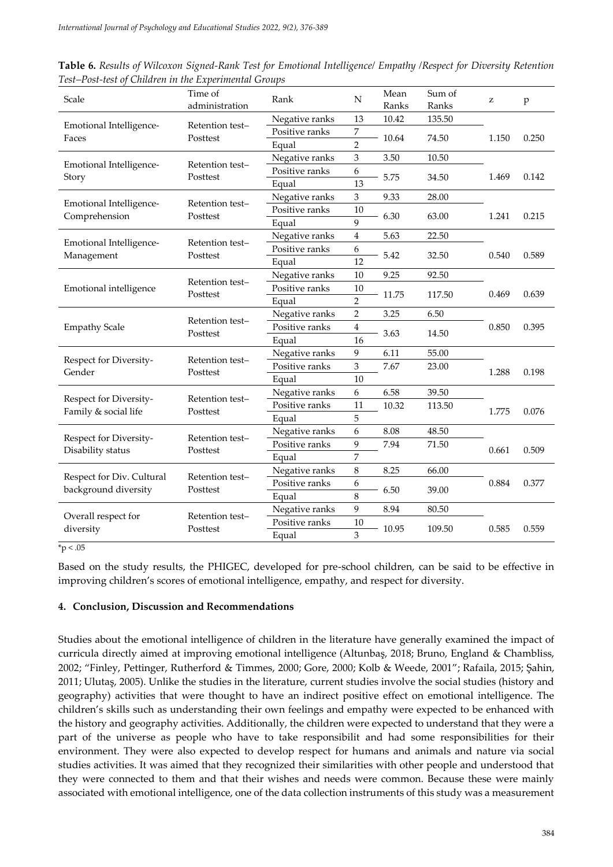| Scale                                    | Time of<br>administration   | Rank           | N              | Mean<br>Ranks | Sum of<br>Ranks | z     | $\mathbf{p}$ |
|------------------------------------------|-----------------------------|----------------|----------------|---------------|-----------------|-------|--------------|
|                                          |                             | Negative ranks | 13             | 10.42         | 135.50          |       |              |
| Emotional Intelligence-<br>Faces         | Retention test-<br>Posttest | Positive ranks | 7              | 10.64         | 74.50           | 1.150 | 0.250        |
|                                          |                             | Equal          | $\overline{2}$ |               |                 |       |              |
|                                          | Retention test-             | Negative ranks | 3              | 3.50          | 10.50           |       |              |
| Emotional Intelligence-<br>Story         | Posttest                    | Positive ranks | 6              | 5.75          | 34.50           | 1.469 | 0.142        |
|                                          |                             | Equal          | 13             |               |                 |       |              |
|                                          | Retention test-             | Negative ranks | 3              | 9.33          | 28.00           |       |              |
| Emotional Intelligence-<br>Comprehension | Posttest                    | Positive ranks | 10             | 6.30          | 63.00           | 1.241 | 0.215        |
|                                          |                             | Equal          | 9              |               |                 |       |              |
| Emotional Intelligence-                  | Retention test-             | Negative ranks | $\overline{4}$ | 5.63          | 22.50           |       |              |
| Management                               | Posttest                    | Positive ranks | 6              | 5.42          | 32.50           | 0.540 | 0.589        |
|                                          |                             | Equal          | 12             |               |                 |       |              |
|                                          | Retention test-<br>Posttest | Negative ranks | 10             | 9.25          | 92.50           |       |              |
| Emotional intelligence                   |                             | Positive ranks | 10             | 11.75         | 117.50          | 0.469 | 0.639        |
|                                          |                             | Equal          | $\overline{2}$ |               |                 |       |              |
| <b>Empathy Scale</b>                     | Retention test-<br>Posttest | Negative ranks | $\overline{2}$ | 3.25<br>3.63  | 6.50            |       |              |
|                                          |                             | Positive ranks | 4              |               | 14.50           | 0.850 | 0.395        |
|                                          |                             | Equal          | 16             |               |                 |       |              |
| Respect for Diversity-                   | Retention test-<br>Posttest | Negative ranks | 9              | 6.11          | 55.00           |       |              |
| Gender                                   |                             | Positive ranks | 3              | 7.67          | 23.00           | 1.288 | 0.198        |
|                                          |                             | Equal          | 10             |               |                 |       |              |
| Respect for Diversity-                   | Retention test-             | Negative ranks | 6              | 6.58          | 39.50           |       |              |
| Family & social life                     | Posttest                    | Positive ranks | 11             | 10.32         | 113.50          | 1.775 | 0.076        |
|                                          |                             | Equal          | 5              |               |                 |       |              |
| Respect for Diversity-                   | Retention test-             | Negative ranks | 6              | 8.08          | 48.50           |       |              |
| Disability status                        | Posttest                    | Positive ranks | 9              | 7.94          | 71.50           | 0.661 | 0.509        |
|                                          |                             | Equal          | 7              |               |                 |       |              |
| Respect for Div. Cultural                | Retention test-             | Negative ranks | 8              | 8.25          | 66.00           |       |              |
| background diversity                     | Posttest                    | Positive ranks | 6              | 6.50          | 39.00           | 0.884 | 0.377        |
|                                          |                             | Equal          | 8              |               |                 |       |              |
|                                          | Retention test-             | Negative ranks | 9              | 8.94          | 80.50           |       |              |
| Overall respect for<br>diversity         | Posttest                    | Positive ranks | 10             | 10.95         | 109.50          | 0.585 | 0.559        |
|                                          |                             | Equal          | 3              |               |                 |       |              |

**Table 6.** *Results of Wilcoxon Signed-Rank Test for Emotional Intelligence/ Empathy /Respect for Diversity Retention Test–Post-test of Children in the Experimental Groups*

 $*_{p}$  < .05

Based on the study results, the PHIGEC, developed for pre-school children, can be said to be effective in improving children's scores of emotional intelligence, empathy, and respect for diversity.

#### **4. Conclusion, Discussion and Recommendations**

Studies about the emotional intelligence of children in the literature have generally examined the impact of curricula directly aimed at improving emotional intelligence (Altunbaş, 2018; Bruno, England & Chambliss, 2002; "Finley, Pettinger, Rutherford & Timmes, 2000; Gore, 2000; Kolb & Weede, 2001"; Rafaila, 2015; Şahin, 2011; Ulutaş, 2005). Unlike the studies in the literature, current studies involve the social studies (history and geography) activities that were thought to have an indirect positive effect on emotional intelligence. The children's skills such as understanding their own feelings and empathy were expected to be enhanced with the history and geography activities. Additionally, the children were expected to understand that they were a part of the universe as people who have to take responsibilit and had some responsibilities for their environment. They were also expected to develop respect for humans and animals and nature via social studies activities. It was aimed that they recognized their similarities with other people and understood that they were connected to them and that their wishes and needs were common. Because these were mainly associated with emotional intelligence, one of the data collection instruments of this study was a measurement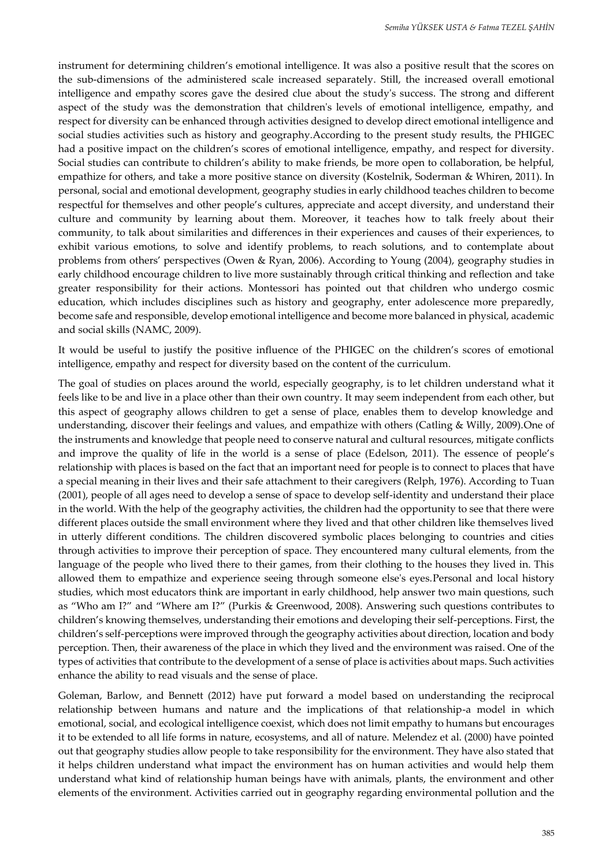instrument for determining children's emotional intelligence. It was also a positive result that the scores on the sub-dimensions of the administered scale increased separately. Still, the increased overall emotional intelligence and empathy scores gave the desired clue about the study's success. The strong and different aspect of the study was the demonstration that children's levels of emotional intelligence, empathy, and respect for diversity can be enhanced through activities designed to develop direct emotional intelligence and social studies activities such as history and geography.According to the present study results, the PHIGEC had a positive impact on the children's scores of emotional intelligence, empathy, and respect for diversity. Social studies can contribute to children's ability to make friends, be more open to collaboration, be helpful, empathize for others, and take a more positive stance on diversity (Kostelnik, Soderman & Whiren, 2011). In personal, social and emotional development, geography studies in early childhood teaches children to become respectful for themselves and other people's cultures, appreciate and accept diversity, and understand their culture and community by learning about them. Moreover, it teaches how to talk freely about their community, to talk about similarities and differences in their experiences and causes of their experiences, to exhibit various emotions, to solve and identify problems, to reach solutions, and to contemplate about problems from others' perspectives (Owen & Ryan, 2006). According to Young (2004), geography studies in early childhood encourage children to live more sustainably through critical thinking and reflection and take greater responsibility for their actions. Montessori has pointed out that children who undergo cosmic education, which includes disciplines such as history and geography, enter adolescence more preparedly, become safe and responsible, develop emotional intelligence and become more balanced in physical, academic and social skills (NAMC, 2009).

It would be useful to justify the positive influence of the PHIGEC on the children's scores of emotional intelligence, empathy and respect for diversity based on the content of the curriculum.

The goal of studies on places around the world, especially geography, is to let children understand what it feels like to be and live in a place other than their own country. It may seem independent from each other, but this aspect of geography allows children to get a sense of place, enables them to develop knowledge and understanding, discover their feelings and values, and empathize with others (Catling & Willy, 2009).One of the instruments and knowledge that people need to conserve natural and cultural resources, mitigate conflicts and improve the quality of life in the world is a sense of place (Edelson, 2011). The essence of people's relationship with places is based on the fact that an important need for people is to connect to places that have a special meaning in their lives and their safe attachment to their caregivers (Relph, 1976). According to Tuan (2001), people of all ages need to develop a sense of space to develop self-identity and understand their place in the world. With the help of the geography activities, the children had the opportunity to see that there were different places outside the small environment where they lived and that other children like themselves lived in utterly different conditions. The children discovered symbolic places belonging to countries and cities through activities to improve their perception of space. They encountered many cultural elements, from the language of the people who lived there to their games, from their clothing to the houses they lived in. This allowed them to empathize and experience seeing through someone else's eyes.Personal and local history studies, which most educators think are important in early childhood, help answer two main questions, such as "Who am I?" and "Where am I?" (Purkis & Greenwood, 2008). Answering such questions contributes to children's knowing themselves, understanding their emotions and developing their self-perceptions. First, the children's self-perceptions were improved through the geography activities about direction, location and body perception. Then, their awareness of the place in which they lived and the environment was raised. One of the types of activities that contribute to the development of a sense of place is activities about maps. Such activities enhance the ability to read visuals and the sense of place.

Goleman, Barlow, and Bennett (2012) have put forward a model based on understanding the reciprocal relationship between humans and nature and the implications of that relationship-a model in which emotional, social, and ecological intelligence coexist, which does not limit empathy to humans but encourages it to be extended to all life forms in nature, ecosystems, and all of nature. Melendez et al. (2000) have pointed out that geography studies allow people to take responsibility for the environment. They have also stated that it helps children understand what impact the environment has on human activities and would help them understand what kind of relationship human beings have with animals, plants, the environment and other elements of the environment. Activities carried out in geography regarding environmental pollution and the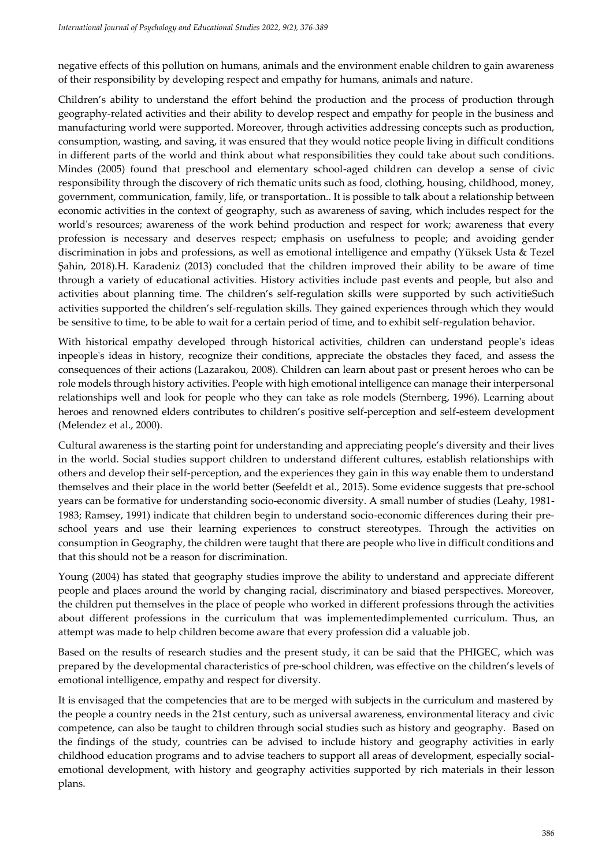negative effects of this pollution on humans, animals and the environment enable children to gain awareness of their responsibility by developing respect and empathy for humans, animals and nature.

Children's ability to understand the effort behind the production and the process of production through geography-related activities and their ability to develop respect and empathy for people in the business and manufacturing world were supported. Moreover, through activities addressing concepts such as production, consumption, wasting, and saving, it was ensured that they would notice people living in difficult conditions in different parts of the world and think about what responsibilities they could take about such conditions. Mindes (2005) found that preschool and elementary school-aged children can develop a sense of civic responsibility through the discovery of rich thematic units such as food, clothing, housing, childhood, money, government, communication, family, life, or transportation.. It is possible to talk about a relationship between economic activities in the context of geography, such as awareness of saving, which includes respect for the world's resources; awareness of the work behind production and respect for work; awareness that every profession is necessary and deserves respect; emphasis on usefulness to people; and avoiding gender discrimination in jobs and professions, as well as emotional intelligence and empathy (Yüksek Usta & Tezel Şahin, 2018).H. Karadeniz (2013) concluded that the children improved their ability to be aware of time through a variety of educational activities. History activities include past events and people, but also and activities about planning time. The children's self-regulation skills were supported by such activitieSuch activities supported the children's self-regulation skills. They gained experiences through which they would be sensitive to time, to be able to wait for a certain period of time, and to exhibit self-regulation behavior.

With historical empathy developed through historical activities, children can understand people's ideas inpeople's ideas in history, recognize their conditions, appreciate the obstacles they faced, and assess the consequences of their actions (Lazarakou, 2008). Children can learn about past or present heroes who can be role models through history activities. People with high emotional intelligence can manage their interpersonal relationships well and look for people who they can take as role models (Sternberg, 1996). Learning about heroes and renowned elders contributes to children's positive self-perception and self-esteem development (Melendez et al., 2000).

Cultural awareness is the starting point for understanding and appreciating people's diversity and their lives in the world. Social studies support children to understand different cultures, establish relationships with others and develop their self-perception, and the experiences they gain in this way enable them to understand themselves and their place in the world better (Seefeldt et al., 2015). Some evidence suggests that pre-school years can be formative for understanding socio-economic diversity. A small number of studies (Leahy, 1981- 1983; Ramsey, 1991) indicate that children begin to understand socio-economic differences during their preschool years and use their learning experiences to construct stereotypes. Through the activities on consumption in Geography, the children were taught that there are people who live in difficult conditions and that this should not be a reason for discrimination.

Young (2004) has stated that geography studies improve the ability to understand and appreciate different people and places around the world by changing racial, discriminatory and biased perspectives. Moreover, the children put themselves in the place of people who worked in different professions through the activities about different professions in the curriculum that was implementedimplemented curriculum. Thus, an attempt was made to help children become aware that every profession did a valuable job.

Based on the results of research studies and the present study, it can be said that the PHIGEC, which was prepared by the developmental characteristics of pre-school children, was effective on the children's levels of emotional intelligence, empathy and respect for diversity.

It is envisaged that the competencies that are to be merged with subjects in the curriculum and mastered by the people a country needs in the 21st century, such as universal awareness, environmental literacy and civic competence, can also be taught to children through social studies such as history and geography. Based on the findings of the study, countries can be advised to include history and geography activities in early childhood education programs and to advise teachers to support all areas of development, especially socialemotional development, with history and geography activities supported by rich materials in their lesson plans.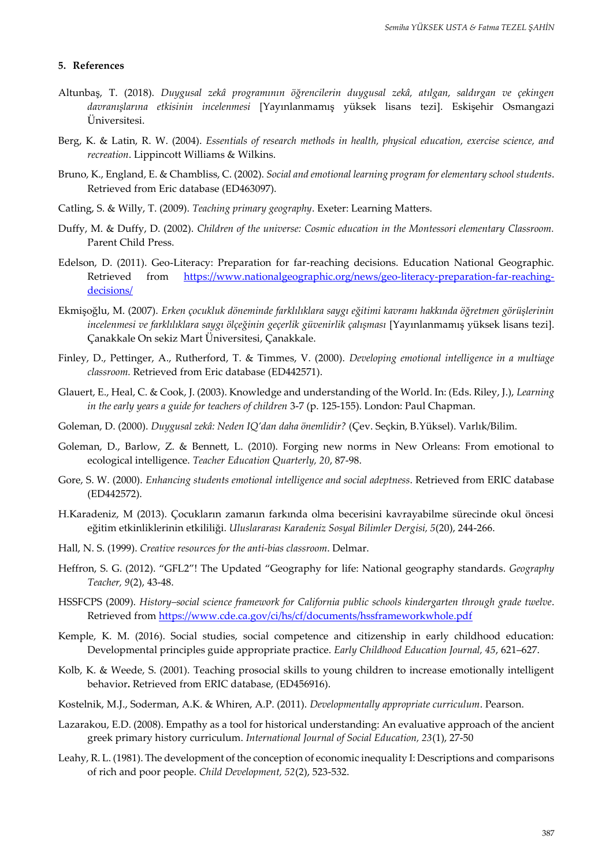#### **5. References**

- Altunbaş, T. (2018). *Duygusal zekâ programının öğrencilerin duygusal zekâ, atılgan, saldırgan ve çekingen davranışlarına etkisinin incelenmesi* [Yayınlanmamış yüksek lisans tezi]. Eskişehir Osmangazi Üniversitesi.
- Berg, K. & Latin, R. W. (2004). *Essentials of research methods in health, physical education, exercise science, and recreation*. Lippincott Williams & Wilkins.
- Bruno, K., England, E. & Chambliss, C. (2002). *Social and emotional learning program for elementary school students*. Retrieved from Eric database (ED463097).
- Catling, S. & Willy, T. (2009). *Teaching primary geography*. Exeter: Learning Matters.
- Duffy, M. & Duffy, D. (2002). *Children of the universe: Cosmic education in the Montessori elementary Classroom.* Parent Child Press.
- Edelson, D. (2011). Geo-Literacy: Preparation for far-reaching decisions. Education National Geographic. Retrieved from [https://www.nationalgeographic.org/news/geo-literacy-preparation-far-reaching](https://www.nationalgeographic.org/news/geo-literacy-preparation-far-reaching-decisions/)[decisions/](https://www.nationalgeographic.org/news/geo-literacy-preparation-far-reaching-decisions/)
- Ekmişoğlu, M. (2007). *Erken çocukluk döneminde farklılıklara saygı eğitimi kavramı hakkında öğretmen görüşlerinin incelenmesi ve farklılıklara saygı ölçeğinin geçerlik güvenirlik çalışması* [Yayınlanmamış yüksek lisans tezi]. Çanakkale On sekiz Mart Üniversitesi, Çanakkale.
- Finley, D., Pettinger, A., Rutherford, T. & Timmes, V. (2000). *Developing emotional intelligence in a multiage classroom.* Retrieved from Eric database (ED442571).
- Glauert, E., Heal, C. & Cook, J. (2003). Knowledge and understanding of the World. In: (Eds. Riley, J.), *Learning in the early years a guide for teachers of children* 3-7 (p. 125-155). London: Paul Chapman.
- Goleman, D. (2000). *Duygusal zekâ: Neden IQ'dan daha önemlidir?* (Çev. Seçkin, B.Yüksel). Varlık/Bilim.
- Goleman, D., Barlow, Z. & Bennett, L. (2010). Forging new norms in New Orleans: From emotional to ecological intelligence. *Teacher Education Quarterly, 20*, 87-98.
- Gore, S. W. (2000). *Enhancing students emotional intelligence and social adeptness*. Retrieved from ERIC database (ED442572).
- H.Karadeniz, M (2013). Çocukların zamanın farkında olma becerisini kavrayabilme sürecinde okul öncesi eğitim etkinliklerinin etkililiği. *Uluslararası Karadeniz Sosyal Bilimler Dergisi, 5*(20), 244-266.
- Hall, N. S. (1999). *Creative resources for the anti-bias classroom*. Delmar.
- Heffron, S. G. (2012). "GFL2"! The Updated "Geography for life: National geography standards. *Geography Teacher, 9*(2), 43-48.
- HSSFCPS (2009). *History–social science framework for California public schools kindergarten through grade twelve*. Retrieved from<https://www.cde.ca.gov/ci/hs/cf/documents/hssframeworkwhole.pdf>
- Kemple, K. M. (2016). Social studies, social competence and citizenship in early childhood education: Developmental principles guide appropriate practice. *Early Childhood Education Journal, 45*, 621–627.
- Kolb, K. & Weede, S. (2001). Teaching prosocial skills to young children to increase emotionally intelligent behavior**.** Retrieved from ERIC database, (ED456916).
- Kostelnik, M.J., Soderman, A.K. & Whiren, A.P. (2011). *Developmentally appropriate curriculum*. Pearson.
- Lazarakou, E.D. (2008). Empathy as a tool for historical understanding: An evaluative approach of the ancient greek primary history curriculum. *International Journal of Social Education, 23*(1), 27-50
- Leahy, R. L. (1981). The development of the conception of economic inequality I: Descriptions and comparisons of rich and poor people. *Child Development, 52*(2), 523-532.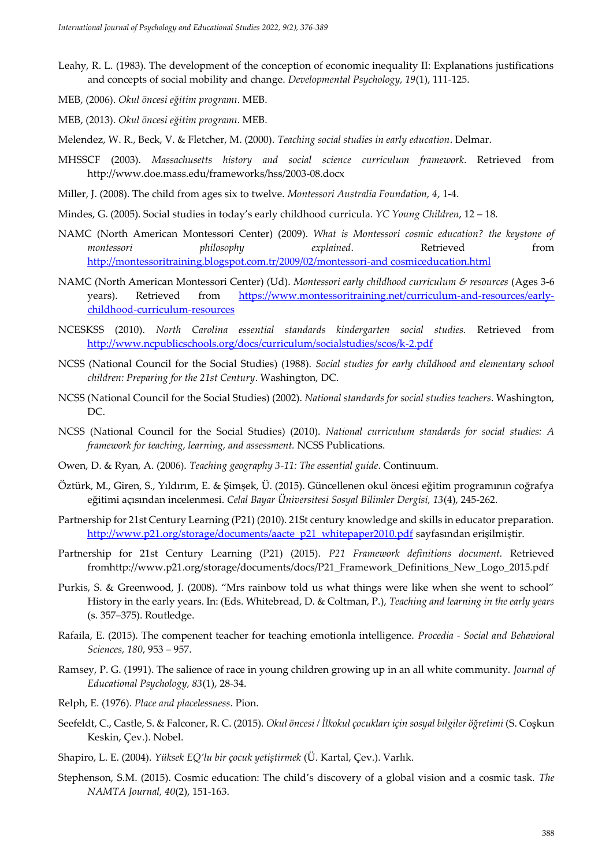- Leahy, R. L. (1983). The development of the conception of economic inequality II: Explanations justifications and concepts of social mobility and change. *Developmental Psychology, 19*(1), 111-125.
- MEB, (2006). *Okul öncesi eğitim programı*. MEB.
- MEB, (2013). *Okul öncesi eğitim programı*. MEB.
- Melendez, W. R., Beck, V. & Fletcher, M. (2000). *Teaching social studies in early education*. Delmar.
- MHSSCF (2003). *Massachusetts history and social science curriculum framework*. Retrieved from http://www.doe.mass.edu/frameworks/hss/2003-08.docx
- Miller, J. (2008). The child from ages six to twelve. *Montessori Australia Foundation, 4*, 1-4.
- Mindes, G. (2005). Social studies in today's early childhood curricula. *YC Young Children*, 12 18.
- NAMC (North American Montessori Center) (2009). *What is Montessori cosmic education? the keystone of montessori philosophy explained*. Retrieved from [http://montessoritraining.blogspot.com.tr/2009/02/montessori-and cosmiceducation.html](http://montessoritraining.blogspot.com.tr/2009/02/montessori-and%20cosmiceducation.html)
- NAMC (North American Montessori Center) (Ud). *Montessori early childhood curriculum & resources* (Ages 3-6 years). Retrieved from [https://www.montessoritraining.net/curriculum-and-resources/early](https://www.montessoritraining.net/curriculum-and-resources/early-childhood-curriculum-resources)[childhood-curriculum-resources](https://www.montessoritraining.net/curriculum-and-resources/early-childhood-curriculum-resources)
- NCESKSS (2010). *North Carolina essential standards kindergarten social studies.* Retrieved from <http://www.ncpublicschools.org/docs/curriculum/socialstudies/scos/k-2.pdf>
- NCSS (National Council for the Social Studies) (1988). *Social studies for early childhood and elementary school children: Preparing for the 21st Century*. Washington, DC.
- NCSS (National Council for the Social Studies) (2002). *National standards for social studies teachers*. Washington, DC.
- NCSS (National Council for the Social Studies) (2010). *National curriculum standards for social studies: A framework for teaching, learning, and assessment.* NCSS Publications.
- Owen, D. & Ryan, A. (2006). *Teaching geography 3-11: The essential guide*. Continuum.
- Öztürk, M., Giren, S., Yıldırım, E. & Şimşek, Ü. (2015). Güncellenen okul öncesi eğitim programının coğrafya eğitimi açısından incelenmesi. *Celal Bayar Üniversitesi Sosyal Bilimler Dergisi, 13*(4), 245-262.
- Partnership for 21st Century Learning (P21) (2010). 21St century knowledge and skills in educator preparation. [http://www.p21.org/storage/documents/aacte\\_p21\\_whitepaper2010.pdf](http://www.p21.org/storage/documents/aacte_p21_whitepaper2010.pdf) sayfasından erişilmiştir.
- Partnership for 21st Century Learning (P21) (2015). *P21 Framework definitions document.* Retrieved fromhttp://www.p21.org/storage/documents/docs/P21\_Framework\_Definitions\_New\_Logo\_2015.pdf
- Purkis, S. & Greenwood, J. (2008). "Mrs rainbow told us what things were like when she went to school" History in the early years. In: (Eds. Whitebread, D. & Coltman, P.), *Teaching and learning in the early years* (s. 357–375). Routledge.
- Rafaila, E. (2015). The compenent teacher for teaching emotionla intelligence. *Procedia - Social and Behavioral Sciences, 180*, 953 – 957.
- Ramsey, P. G. (1991). The salience of race in young children growing up in an all white community. *Journal of Educational Psychology, 83*(1), 28-34.
- Relph, E. (1976). *Place and placelessness*. Pion.
- Seefeldt, C., Castle, S. & Falconer, R. C. (2015). *Okul öncesi / İlkokul çocukları için sosyal bilgiler öğretimi* (S. Coşkun Keskin, Çev.). Nobel.
- Shapiro, L. E. (2004). *Yüksek EQ'lu bir çocuk yetiştirmek* (Ü. Kartal, Çev.). Varlık.
- Stephenson, S.M. (2015). Cosmic education: The child's discovery of a global vision and a cosmic task. *The NAMTA Journal, 40*(2), 151-163.